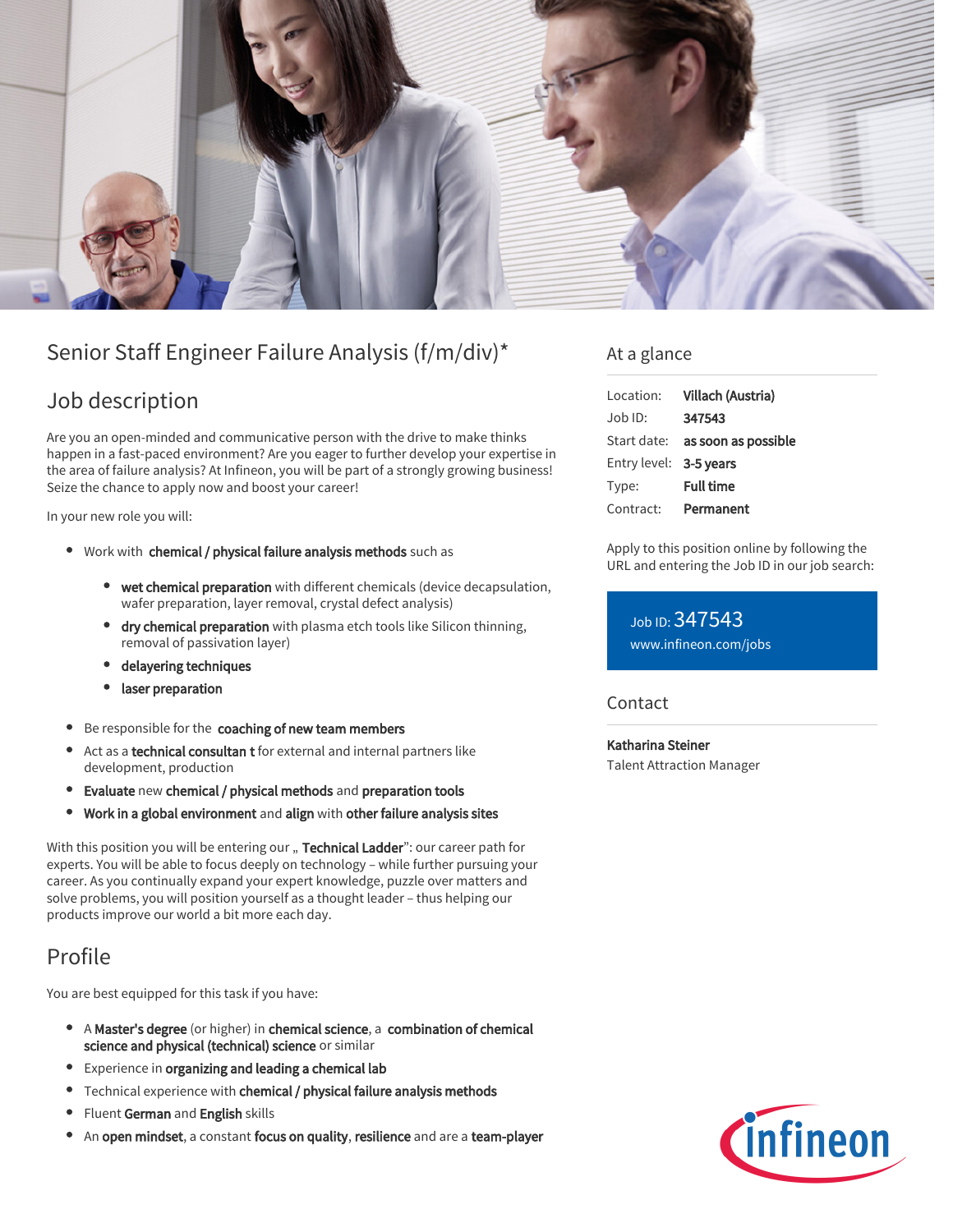

# Senior Staff Engineer Failure Analysis (f/m/div)\*

### Job description

Are you an open-minded and communicative person with the drive to make thinks happen in a fast-paced environment? Are you eager to further develop your expertise in the area of failure analysis? At Infineon, you will be part of a strongly growing business! Seize the chance to apply now and boost your career!

In your new role you will:

- Work with chemical / physical failure analysis methods such as
	- wet chemical preparation with different chemicals (device decapsulation, wafer preparation, layer removal, crystal defect analysis)
	- dry chemical preparation with plasma etch tools like Silicon thinning, removal of passivation layer)
	- delayering techniques
	- laser preparation
- Be responsible for the coaching of new team members
- Act as a technical consultan t for external and internal partners like  $\bullet$ development, production
- Evaluate new chemical / physical methods and preparation tools
- Work in a global environment and align with other failure analysis sites  $\bullet$

With this position you will be entering our " Technical Ladder": our career path for experts. You will be able to focus deeply on technology – while further pursuing your career. As you continually expand your expert knowledge, puzzle over matters and solve problems, you will position yourself as a thought leader – thus helping our products improve our world a bit more each day.

## Profile

You are best equipped for this task if you have:

- A Master's degree (or higher) in chemical science, a combination of chemical science and physical (technical) science or similar
- **•** Experience in organizing and leading a chemical lab
- Technical experience with chemical / physical failure analysis methods
- Fluent German and English skills
- An open mindset, a constant focus on quality, resilience and are a team-player

### At a glance

| Location:              | Villach (Austria)                      |
|------------------------|----------------------------------------|
| Job ID:                | 347543                                 |
|                        | Start date: <b>as soon as possible</b> |
| Entry level: 3-5 years |                                        |
| Type:                  | <b>Full time</b>                       |
| Contract:              | Permanent                              |

Apply to this position online by following the URL and entering the Job ID in our job search:

Job ID: 347543 [www.infineon.com/jobs](https://www.infineon.com/jobs)

### **Contact**

Katharina Steiner Talent Attraction Manager